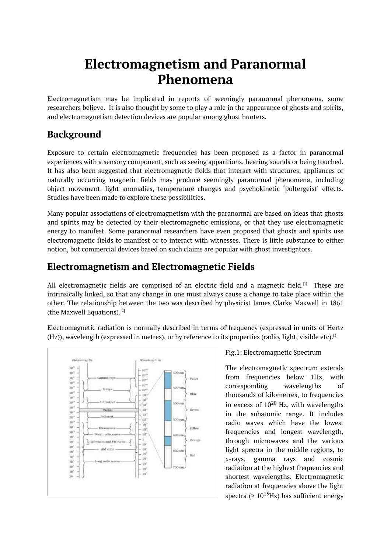# **Electromagnetism and Paranormal Phenomena**

<span id="page-0-0"></span>Electromagnetism may be implicated in reports of seemingly paranormal phenomena, some researchers believe. It is also thought by some to play a role in the appearance of ghosts and spirits, and electromagnetism detection devices are popular among ghost hunters.

# **Background**

Exposure to certain electromagnetic frequencies has been proposed as a factor in paranormal experiences with a sensory component, such as seeing apparitions, hearing sounds or being touched. It has also been suggested that electromagnetic fields that interact with structures, appliances or naturally occurring magnetic fields may produce seemingly paranormal phenomena, including object movement, light anomalies, temperature changes and psychokinetic 'poltergeist' effects. Studies have been made to explore these possibilities.

Many popular associations of electromagnetism with the paranormal are based on ideas that ghosts and spirits may be detected by their electromagnetic emissions, or that they use electromagnetic energy to manifest. Some paranormal researchers have even proposed that ghosts and spirits use electromagnetic fields to manifest or to interact with witnesses. There is little substance to either notion, but commercial devices based on such claims are popular with ghost investigators.

# **Electromagnetism and Electromagnetic Fields**

All electromagnetic fields are comprised of an electric field and a magnetic field.<sup>[1]</sup> These are intrinsically linked, so that any change in one must always cause a change to take place within the other. The relationship between the two was described by physicist James Clarke Maxwell in 1861 (the Maxwell Equations). [2]

Electromagnetic radiation is normally described in terms of frequency (expressed in units of Hertz (Hz)), wavelength (expressed in metres), or by reference to its properties (radio, light, visible etc). [3]



Fig.1: Electromagnetic Spectrum

The electromagnetic spectrum exte[nd](#page-0-0)s from frequencies below 1Hz, with corresponding wavelengths of thousands of kilometres, to frequencies in excess of  $10^{20}$  Hz, with wavelengths in the subatomic range. It includes radio waves which have the lowest frequencies and longest wavelength, through microwaves and the various light spectra in the middle regions, to x-rays, gamma rays and cosmic radiation at the highest frequencies and shortest wavelengths. Electromagnetic radiation at frequencies above the light spectra (> 10<sup>15</sup>Hz) has sufficient energy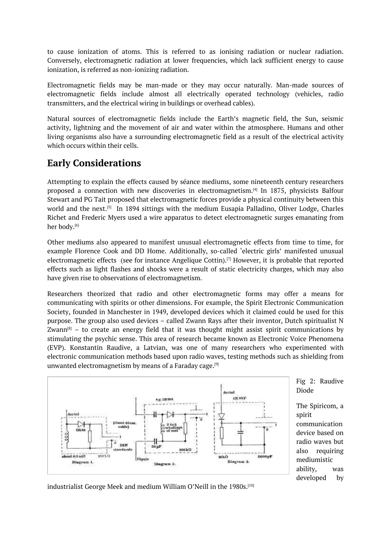to cause ionization of atoms. This is referred to as ionising radiation or nuclear radiation. Conversely, electromagnetic radiation at lower frequencies, which lack sufficient energy to cause ionization, is referred as non-ionizing radiation.

Electromagnetic fields may be man-made or they may occur naturally. Man-made sources of electromagnetic fields include almost all electrically operated technology (vehicles, radio transmitters, and the electrical wiring in buildings or overhead cables).

Natural sources of electromagnetic fields include the Earth's magnetic field, the Sun, seismic activity, lightning and the movement of air and water within the atmosphere. Humans and other living organisms also have a surrounding electromagnetic field as a result of the electrical activity which occurs within their cells.

## **Early Considerations**

Attempting to explain the effects caused by séance mediums, some nineteenth century researchers proposed a connection with new discoveries in electromagnetism. [4] In 1875, physicists Balfour Stewart and PG Tait proposed that electromagnetic forces provide a physical continuity between this world and the next.<sup>[5]</sup> In 1894 sittings with the medium Eusapia Palladino, Oliver Lodge, Charles Richet and Frederic Myers used a wire apparatus to detect electrom[ag](#page-0-0)netic surges emanating from her body. [6]

Other mediums als[o](#page-0-0) appeared to manifest unusual electromagnetic effects from time to time, for example Florence Cook and DD Home. Additionally, so-called 'electric girls' manifested unusual electrom[ag](#page-0-0)netic effects (see for instance Angelique Cottin). [7] However, it is probable that reported effects such as light flashes and shocks were a result of static electricity charges, which may also have given rise to observations of electromagnetism.

Researchers theorized that radio and other electromag[ne](#page-0-0)tic forms may offer a means for communicating with spirits or other dimensions. For example, the Spirit Electronic Communication Society, founded in Manchester in 1949, developed devices which it claimed could be used for this purpose. The group also used devices – called Zwann Rays after their inventor, Dutch spiritualist N Zwann $^{\text{\tiny{[8]}}}$  – to create an energy field that it was thought might assist spirit communications by stimulating the psychic sense. This area of research became known as Electronic Voice Phenomena (EVP). Konstantin Raudive, a Latvian, was one of many researchers who experimented with electr[oni](#page-0-0)c communication methods based upon radio waves, testing methods such as shielding from unwanted electromagnetism by means of a Faraday cage. [9]



Fig 2: Raudive Diode

The Spiricom, a spirit communication device based on radio waves but also requiring mediumistic ability, was developed by

industrialist George Meek and medium William O'Neill in the 1980s. $^{\left[10\right]}$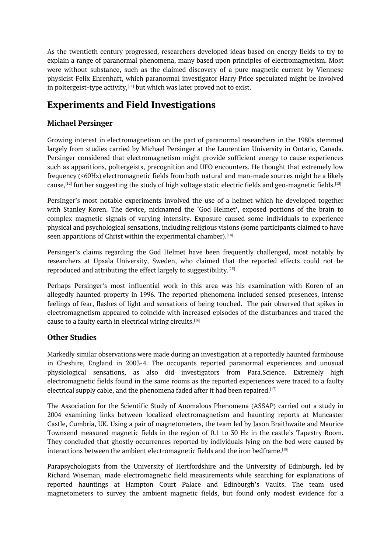As the twentieth century progressed, researchers developed ideas based on energy fields to try to explain a range of paranormal phenomena, many based upon principles of electromagnetism. Most were without substance, such as the claimed discovery of a pure magnetic current by Viennese physicist Felix Ehrenhaft, which paranormal investigator Harry Price speculated might be involved in poltergeist-type activity, $^{[11]}$  but which was later proved not to exist.

# **Experiments and Field Investigations**

#### **Michael Persinger**

Growing interest in electromagnetism on the part of paranormal researchers in the 1980s stemmed largely from studies carried by Michael Persinger at the Laurentian University in Ontario, Canada. Persinger considered that electromagnetism might provide sufficient energy to cause experiences such as apparitions, poltergeists, precognition and UFO encounters. He thought that extremely low frequency (<60Hz) electromagnetic fields from both natural and man-made sources might be a likely cause, $^{\rm [12]}$  further suggesting the study of high voltage static electric fields and geo-magnetic fields. $^{\rm [13]}$ 

Persinger's most notable experiments involved the use of a helmet which he developed together with Stanley Koren. The device, nicknamed the 'God Helmet', exposed portions of the brain to compl[ex](#page-0-0) magnetic signals of varying intensity. Exposure caused some individuals to experie[nce](#page-0-0) physical and psychological sensations, including religious visions (some participants claimed to have seen apparitions of Christ within the experimental chamber).<sup>[14]</sup>

Persinger's claims regarding the God Helmet have been frequently challenged, most notably by researchers at Upsala University, Sweden, who claimed that the reported effects could not be reproduced and attributing the effect largely to suggestibility. $^{\scriptscriptstyle [15]}$  $^{\scriptscriptstyle [15]}$  $^{\scriptscriptstyle [15]}$ 

Perhaps Persinger's most influential work in this area was his examination with Koren of an allegedly haunted property in 1996. The reported phenomena included sensed presences, intense feelings of fear, flashes of light and sensations of being tou[che](#page-0-0)d. The pair observed that spikes in electromagnetism appeared to coincide with increased episodes of the disturbances and traced the cause to a faulty earth in electrical wiring circuits. [16]

#### **Other Studies**

Markedly similar observations were made during [an](#page-0-0) investigation at a reportedly haunted farmhouse in Cheshire, England in 2003-4. The occupants reported paranormal experiences and unusual physiological sensations, as also did investigators from Para.Science. Extremely high electromagnetic fields found in the same rooms as the reported experiences were traced to a faulty electrical supply cable, and the phenomena faded after it had been repaired.  $^{\left[17\right]}$ 

The Association for the Scientific Study of Anomalous Phenomena (ASSAP) carried out a study in 2004 examining links between localized electromagnetism and haunting reports at Muncaster Castle, Cumbria, UK. Using a pair of magnetometers, the team led by Jason [Br](#page-0-0)aithwaite and Maurice Townsend measured magnetic fields in the region of 0.1 to 30 Hz in the castle's Tapestry Room. They concluded that ghostly occurrences reported by individuals lying on the bed were caused by interactions between the ambient electromagnetic fields and the iron bedframe. $^{\rm [18]}$ 

Parapsychologists from the University of Hertfordshire and the University of Edinburgh, led by Richard Wiseman, made electromagnetic field measurements while searching for explanations of reported hauntings at Hampton Court Palace and Edinburgh's Vault[s.](#page-0-0) The team used magnetometers to survey the ambient magnetic fields, but found only modest evidence for a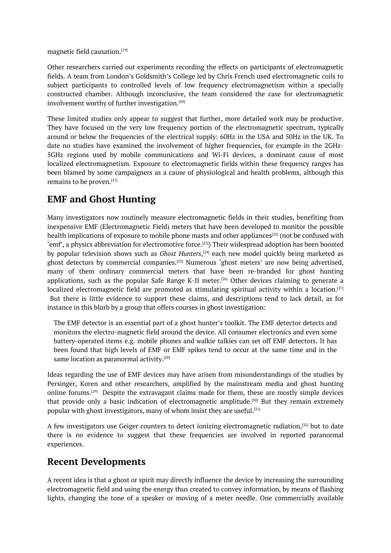magnetic field causation. [19]

Other researchers carried out experiments recording the effects on participants of electromagnetic fields. A team from London's Goldsmith's College led by Chris French used electromagnetic coils to subject participants to [co](#page-0-0)ntrolled levels of low frequency electromagnetism within a specially constructed chamber. Although inconclusive, the team considered the case for electromagnetic involvement worthy of further investigation. [20]

These limited studies only appear to suggest that further, more detailed work may be productive. They have focused on the very low frequency portion of the electromagnetic spectrum, typically around or below the frequencies of the ele[ctri](#page-0-0)cal supply: 60Hz in the USA and 50Hz in the UK. To date no studies have examined the involvement of higher frequencies, for example in the 2GHz-5GHz regions used by mobile communications and Wi-Fi devices, a dominant cause of most localized electromagnetism. Exposure to electromagnetic fields within these frequency ranges has been blamed by some campaigners as a cause of physiological and health problems, although this remains to be proven. [21]

## **EMF and Ghost Hunting**

Many investigators n[ow](#page-0-0) routinely measure electromagnetic fields in their studies, benefiting from inexpensive EMF (Electromagnetic Field) meters that have been developed to monitor the possible health implications of exposure to mobile phone masts and other appliances<sup>[22]</sup> (not be confused with 'emf', a physics abbreviation for electromotive force. [23]) Their widespread adoption has been boosted by popular television shows such as *Ghost Hunters*, [24] each new model quickly being marketed as ghost detectors by commercial companies.<sup>[25]</sup> Numerous 'ghost meters' are now being advertised, many of them ordinary commercial meters that have been re-bran[ded](#page-0-0) for ghost hunting applications, such as the popular Safe Range K-II [me](#page-0-0)ter.<sup>[26]</sup> Other devices claiming to generate a localiz[ed](#page-0-0) electromagnetic field are promoted as stimulating spiritual activity within a location. $^{[27]}$ But there is little evidence to support these claims, and descriptions tend to lack detail, as for instance in this blurb by a group that offers courses in ghost [in](#page-0-0)vestigation:

The EMF detector is an essential part of a ghost hunter's toolkit. The EMF detector detects and monitors the electro-magnetic field around the device. All consumer electronics and even some battery-operated items e.g. mobile phones and walkie talkies can set off EMF detectors. It has been found that high levels of EMF or EMF spikes tend to occur at the same time and in the same location as paranormal activity. [28]

Ideas regarding the use of EMF devices may have arisen from misunderstandings of the studies by Persinger, Koren and other researchers, amplified by the mainstream media and ghost hunting online forums.<sup>[29]</sup> Despite the extrava[gan](#page-0-0)t claims made for them, these are mostly simple devices that provide only a basic indication of electromagnetic amplitude.<sup>[30]</sup> But they remain extremely popular with ghost investigators, many of whom insist they are useful.<sup>[31]</sup>

A few investig[ato](#page-0-0)rs use Geiger counters to detect ionizing electromagnetic radiation, $^{\left[ 32 \right]}$  but to date there is no evidence to suggest that these frequencies are inv[olv](#page-0-0)ed in reported paranormal experiences.

## **Recent Developments**

A recent idea is that a ghost or spirit may directly influence the device by increasing the surrounding electromagnetic field and using the energy thus created to convey information, by means of flashing lights, changing the tone of a speaker or moving of a meter needle. One commercially available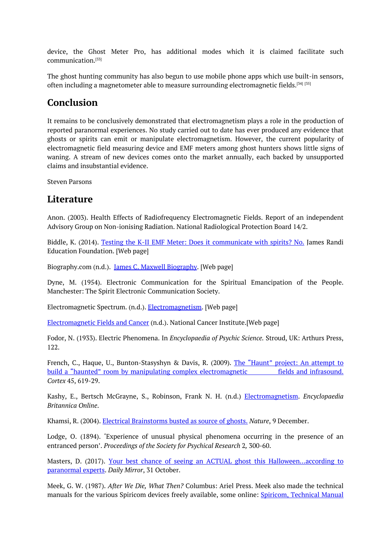device, the Ghost Meter Pro, has additional modes which it is claimed facilitate such communication. [33]

The ghost hunting community has also begun to use mobile phone apps which use built-in sensors, often including a magnetometer able to measure surrounding electromagnetic fields. $^{\left[ 34\right] }$  [35]

## **Conclusion**

It remains to be conclusively demonstrated that electromagnetism plays a role in t[he](#page-0-0) [pro](#page-0-0)duction of reported paranormal experiences. No study carried out to date has ever produced any evidence that ghosts or spirits can emit or manipulate electromagnetism. However, the current popularity of electromagnetic field measuring device and EMF meters among ghost hunters shows little signs of waning. A stream of new devices comes onto the market annually, each backed by unsupported claims and insubstantial evidence.

Steven Parsons

#### **Literature**

Anon. (2003). Health Effects of Radiofrequency Electromagnetic Fields. Report of an independent Advisory Group on Non-ionising Radiation. National Radiological Protection Board 14/2.

Biddle, K. (2014). Testing the K-II EMF Meter: Does it communicate with spirits? No. James Randi Education Foundation. [Web page]

Biography.com (n.d.). James C. Maxwell [Biography.](https://web.randi.org/swift/testing-the-k-ii-emf-meter-does-it-communicate-with-spirits-no) [Web page]

Dyne, M. (1954). Electronic Communication for the Spiritual Emancipation of the People. Manchester: The Spirit Electronic [Communication](https://www.biography.com/scientist/james-c-maxwell) Society.

Electromagnetic Spectrum. (n.d.). Electromagnetism. [Web page]

Electromagnetic Fields and Cancer (n.d.). National Cancer Institute.[Web page]

Fodor, N. (1933). Electric Phenomena. In *[Encyclopaed](https://www.mathsisfun.com/physics/electromagnetic-spectrum.html)ia of Psychic Science.* Stroud, UK: Arthurs Press, [122.](https://www.cancer.gov/about-cancer/causes-prevention/risk/radiation/electromagnetic-fields-fact-sheet)

French, C., Haque, U., Bunton-Stasyshyn & Davis, R. (2009). The "Haunt" project: An attempt to build a "haunted" room by manipulating complex electromagnetic fields and infrasound. *Cortex* 45, 619-29.

Kashy, E., Bertsch McGrayne, S., Robinson, Frank N. H. (n.d.) [Electromagnetism.](http://www.each.usp.br/rvicente/HauntProject.pdf) *Encyclopaedia Britannica Online*.

Khamsi, R. (2004). Electrical Brainstorms busted as source of ghosts. *Nature*, 9 [Decemb](https://www.britannica.com/science/electromagnetism/Faradays-discovery-of-electric-induction)er.

Lodge, O. (1894). 'Experience of unusual physical phenomena occurring in the presence of an entranced person'. *[Proceedings](https://www.nature.com/articles/news041206-10) of the Society for Psychical Research* 2*,* 300-60.

Masters, D. (2017). Your best chance of seeing an ACTUAL ghost this Halloween...according to paranormal experts. *Daily Mirror*, 31 October.

Meek, G. W. (1987). *After We Die, What Then?* Columbus: Ariel Press. Meek also made the technical manuals for the various Spiricom devices freely available, some online: Spiricom, [Technical](https://www.mirror.co.uk/tv/asking-simple-question-out-loud-11317236) Manual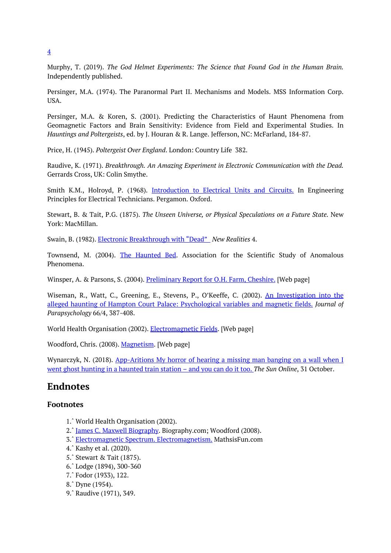Murphy, T. (2019). *The God Helmet Experiments: The Science that Found God in the Human Brain.* Independently published.

Persinger, M.A. (1974). The Paranormal Part II. Mechanisms and Models. MSS Information Corp. USA.

Persinger, M.A. & Koren, S. (2001). Predicting the Characteristics of Haunt Phenomena from Geomagnetic Factors and Brain Sensitivity: Evidence from Field and Experimental Studies. In *Hauntings and Poltergeists*, ed. by J. Houran & R. Lange. Jefferson, NC: McFarland, 184-87.

Price, H. (1945). *Poltergeist Over England*. London: Country Life 382.

Raudive, K. (1971). *Breakthrough. An Amazing Experiment in Electronic Communication with the Dead.* Gerrards Cross, UK: Colin Smythe.

Smith K.M., Holroyd, P. (1968). Introduction to Electrical Units and Circuits. In Engineering Principles for Electrical Technicians. Pergamon. Oxford.

Stewart, B. & Tait, P.G. (1875). *The Unseen Universe, or Physical [Speculations](https://www.sciencedirect.com/topics/engineering/electromotive-force) on a Future State.* New York: MacMillan.

Swain, B. (1982). Electronic Breakthrough with "Dead" *New Realities* 4.

Townsend, M. (2004). The Haunted Bed. Association for the Scientific Study of Anomalous Phenomena.

Winsper, A. & Parsons, S. (2004). [Preliminar](http://www.assap.ac.uk/newsite/htmlfiles/MADS%20haunted%20bed.html)y Report for O.H. Farm, Cheshire. [Web page]

Wiseman, R., Watt, C., Greening, E., Stevens, P., O'Keeffe, C. (2002). An Investigation into the alleged haunting of Hampton Court Palace: [Psychological](http://www.parascience.org.uk/PDFs/Cheshire%20Farmhouse.pdf) variables and magnetic fields. *Journal of Parapsychology* 66/4, 387-408.

World Health Organisation (2002). [Electromagnetic](http://researchprofiles.herts.ac.uk/portal/en/publications/an-investigation-into-the-%09alleged-haunting-of-hampton-court-palace(e0c1c073-c1d1-43cf-a058-a6195b8f34d2).html) Fields. [Web page]

Woodford, Chris. (2008). Magnetism. [Web page]

Wynarczyk, N. (2018). App-Aritions My horror of [hearing](https://www.who.int/peh-emf/about/WhatisEMF/en/) a missing man banging on a wall when I went ghost hunting in a [haunted](https://www.explainthatstuff.com/magnetism.html) train station – and you can do it too. *The Sun Online*, 31 October.

# **Endnotes**

#### **[Footnotes](https://www.thesun.co.uk/news/7620340/ghost-hunting-apps/)**

- 1.ˆ World Health Organisation (2002).
- 2.ˆ James C. Maxwell Biography. Biography.com; Woodford (2008).
- 3.ˆ Electromagnetic Spectrum. Electromagnetism. MathsisFun.com
- 4.ˆ Kashy et al. (2020).
- [5.ˆ](#page-0-0) Stewart & Tait (1875).
- [6.ˆ](#page-0-0) Lodge (1894), [300-360](https://www.biography.com/scientist/james-c-maxwell)
- [7.ˆ](#page-0-0) Fodor [\(1933\),](https://www.mathsisfun.com/physics/electromagnetic-spectrum.html) 122.
- [8.ˆ](#page-0-0) Dyne (1954).
- [9.ˆ](#page-0-0) Raudive (1971), 349.